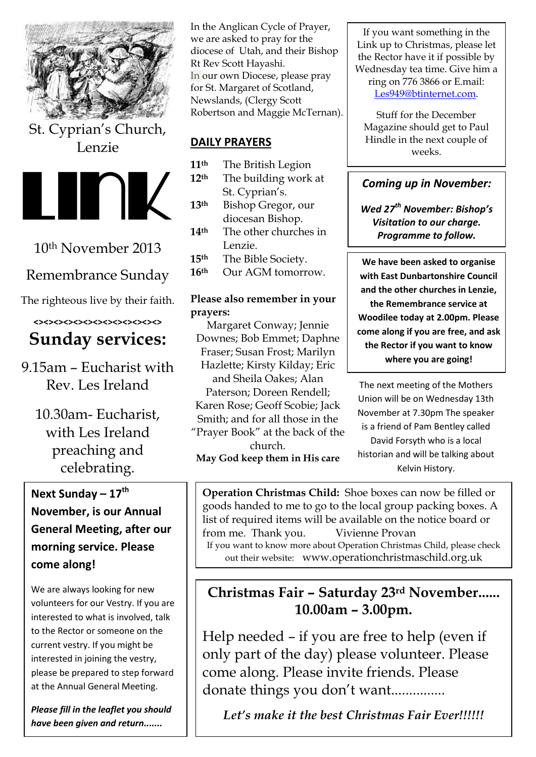

St. Cyprian's Church, Lenzie



10th November 2013

Remembrance Sunday

The righteous live by their faith.

# **<><><><><><><><><><><><><> Sunday services:**

9.15am – Eucharist with Rev. Les Ireland

10.30am- Eucharist, with Les Ireland preaching and celebrating.

# **Next Sunday – 17th November, is our Annual General Meeting, after our morning service. Please come along!**

We are always looking for new volunteers for our Vestry. If you are interested to what is involved, talk to the Rector or someone on the current vestry. If you might be interested in joining the vestry, please be prepared to step forward at the Annual General Meeting.

*Please fill in the leaflet you should have been given and return.......*

In the Anglican Cycle of Prayer, we are asked to pray for the diocese of Utah, and their Bishop Rt Rev Scott Hayashi. In our own Diocese, please pray for St. Margaret of Scotland, Newslands, (Clergy Scott Robertson and Maggie McTernan).

## **DAILY PRAYERS**

- **11th** The British Legion
- **12th** The building work at St. Cyprian's.
- **13th** Bishop Gregor, our diocesan Bishop.
- **14th** The other churches in Lenzie.
- **15th** The Bible Society.
- **16th** Our AGM tomorrow.

#### **Please also remember in your prayers:**

Margaret Conway; Jennie Downes; Bob Emmet; Daphne Fraser; Susan Frost; Marilyn Hazlette; Kirsty Kilday; Eric and Sheila Oakes; Alan Paterson; Doreen Rendell; Karen Rose; Geoff Scobie; Jack Smith; and for all those in the "Prayer Book" at the back of the church.

**May God keep them in His care**

If you want something in the Link up to Christmas, please let the Rector have it if possible by Wednesday tea time. Give him a ring on 776 3866 or E.mail: [Les949@btinternet.com.](mailto:Les949@btinternet.com)

Stuff for the December Magazine should get to Paul Hindle in the next couple of weeks.

## *Coming up in November:*

*Wed 27th November: Bishop's Visitation to our charge. Programme to follow.*

**We have been asked to organise with East Dunbartonshire Council and the other churches in Lenzie, the Remembrance service at Woodilee today at 2.00pm. Please come along if you are free, and ask the Rector if you want to know where you are going!**

The next meeting of the Mothers Union will be on Wednesday 13th November at 7.30pm The speaker is a friend of Pam Bentley called David Forsyth who is a local historian and will be talking about Kelvin History.

**Operation Christmas Child:** Shoe boxes can now be filled or goods handed to me to go to the local group packing boxes. A list of required items will be available on the notice board or from me. Thank you. Vivienne Provan

If you want to know more about Operation Christmas Child, please check out their website: www.operationchristmaschild.org.uk

# **Christmas Fair – Saturday 23rd November...... 10.00am – 3.00pm.**

Help needed – if you are free to help (even if only part of the day) please volunteer. Please come along. Please invite friends. Please donate things you don't want...............

*Let's make it the best Christmas Fair Ever!!!!!!*